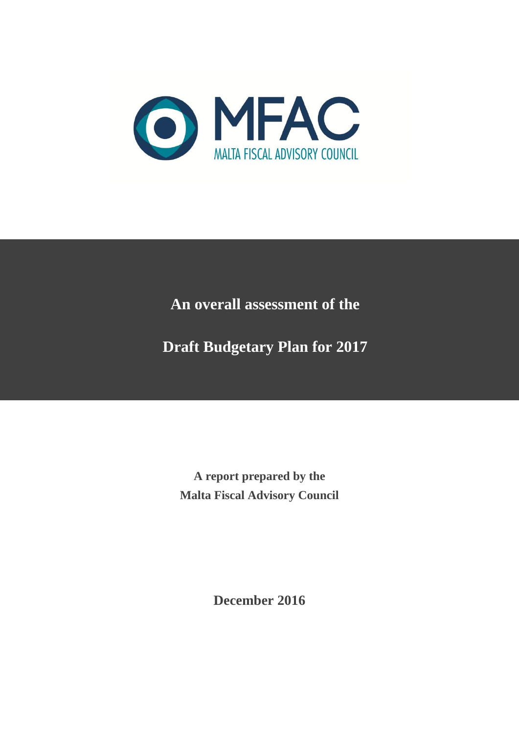

# **An overall assessment of the**

**Draft Budgetary Plan for 2017**

**A report prepared by the Malta Fiscal Advisory Council**

**December 2016**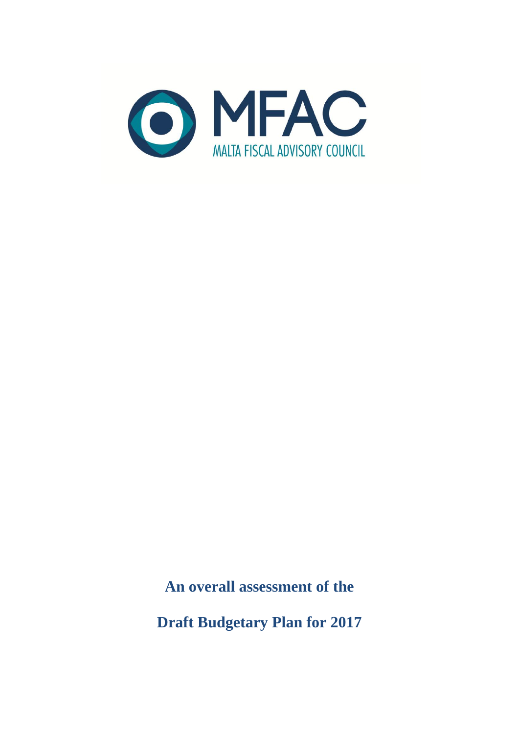

**An overall assessment of the** 

**Draft Budgetary Plan for 2017**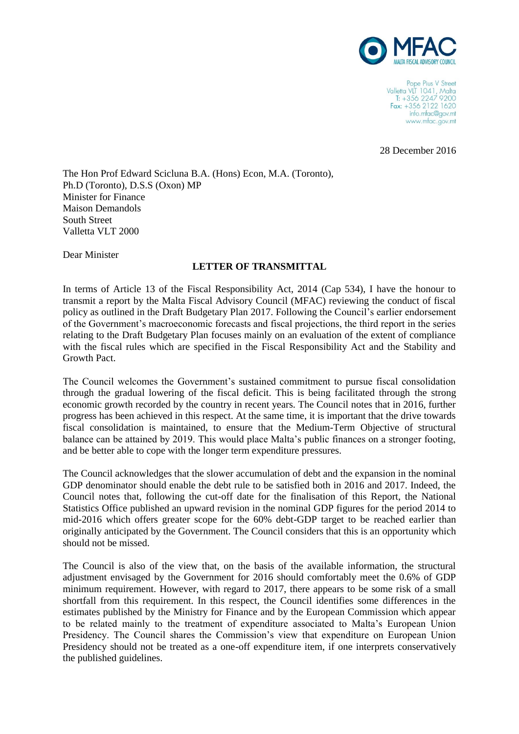

Pope Pius V Street Valletta VLT 1041, Malta T: +356 2247 9200 Fax: +356 2122 1620 info.mfac@gov.mt www.mfac.gov.mt

28 December 2016

The Hon Prof Edward Scicluna B.A. (Hons) Econ, M.A. (Toronto), Ph.D (Toronto), D.S.S (Oxon) MP Minister for Finance Maison Demandols South Street Valletta VLT 2000

Dear Minister

#### **LETTER OF TRANSMITTAL**

In terms of Article 13 of the Fiscal Responsibility Act, 2014 (Cap 534), I have the honour to transmit a report by the Malta Fiscal Advisory Council (MFAC) reviewing the conduct of fiscal policy as outlined in the Draft Budgetary Plan 2017. Following the Council's earlier endorsement of the Government's macroeconomic forecasts and fiscal projections, the third report in the series relating to the Draft Budgetary Plan focuses mainly on an evaluation of the extent of compliance with the fiscal rules which are specified in the Fiscal Responsibility Act and the Stability and Growth Pact.

The Council welcomes the Government's sustained commitment to pursue fiscal consolidation through the gradual lowering of the fiscal deficit. This is being facilitated through the strong economic growth recorded by the country in recent years. The Council notes that in 2016, further progress has been achieved in this respect. At the same time, it is important that the drive towards fiscal consolidation is maintained, to ensure that the Medium-Term Objective of structural balance can be attained by 2019. This would place Malta's public finances on a stronger footing, and be better able to cope with the longer term expenditure pressures.

The Council acknowledges that the slower accumulation of debt and the expansion in the nominal GDP denominator should enable the debt rule to be satisfied both in 2016 and 2017. Indeed, the Council notes that, following the cut-off date for the finalisation of this Report, the National Statistics Office published an upward revision in the nominal GDP figures for the period 2014 to mid-2016 which offers greater scope for the 60% debt-GDP target to be reached earlier than originally anticipated by the Government. The Council considers that this is an opportunity which should not be missed.

The Council is also of the view that, on the basis of the available information, the structural adjustment envisaged by the Government for 2016 should comfortably meet the 0.6% of GDP minimum requirement. However, with regard to 2017, there appears to be some risk of a small shortfall from this requirement. In this respect, the Council identifies some differences in the estimates published by the Ministry for Finance and by the European Commission which appear to be related mainly to the treatment of expenditure associated to Malta's European Union Presidency. The Council shares the Commission's view that expenditure on European Union Presidency should not be treated as a one-off expenditure item, if one interprets conservatively the published guidelines.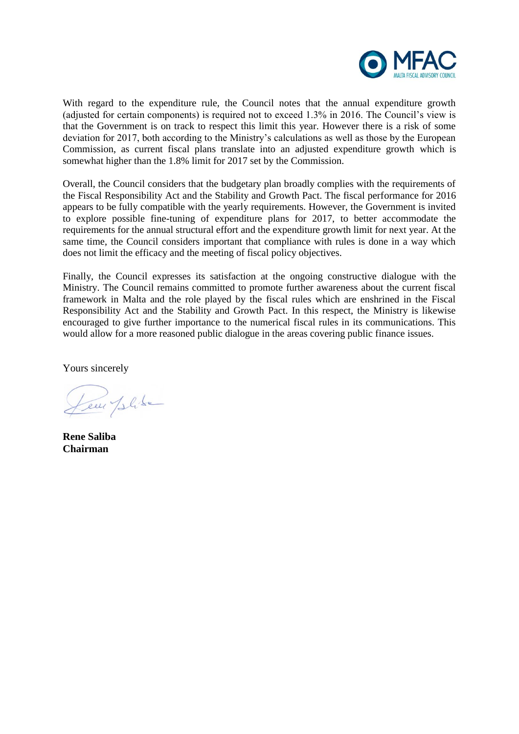

With regard to the expenditure rule, the Council notes that the annual expenditure growth (adjusted for certain components) is required not to exceed 1.3% in 2016. The Council's view is that the Government is on track to respect this limit this year. However there is a risk of some deviation for 2017, both according to the Ministry's calculations as well as those by the European Commission, as current fiscal plans translate into an adjusted expenditure growth which is somewhat higher than the 1.8% limit for 2017 set by the Commission.

Overall, the Council considers that the budgetary plan broadly complies with the requirements of the Fiscal Responsibility Act and the Stability and Growth Pact. The fiscal performance for 2016 appears to be fully compatible with the yearly requirements. However, the Government is invited to explore possible fine-tuning of expenditure plans for 2017, to better accommodate the requirements for the annual structural effort and the expenditure growth limit for next year. At the same time, the Council considers important that compliance with rules is done in a way which does not limit the efficacy and the meeting of fiscal policy objectives.

Finally, the Council expresses its satisfaction at the ongoing constructive dialogue with the Ministry. The Council remains committed to promote further awareness about the current fiscal framework in Malta and the role played by the fiscal rules which are enshrined in the Fiscal Responsibility Act and the Stability and Growth Pact. In this respect, the Ministry is likewise encouraged to give further importance to the numerical fiscal rules in its communications. This would allow for a more reasoned public dialogue in the areas covering public finance issues.

Yours sincerely

Leur Jelike

**Rene Saliba Chairman**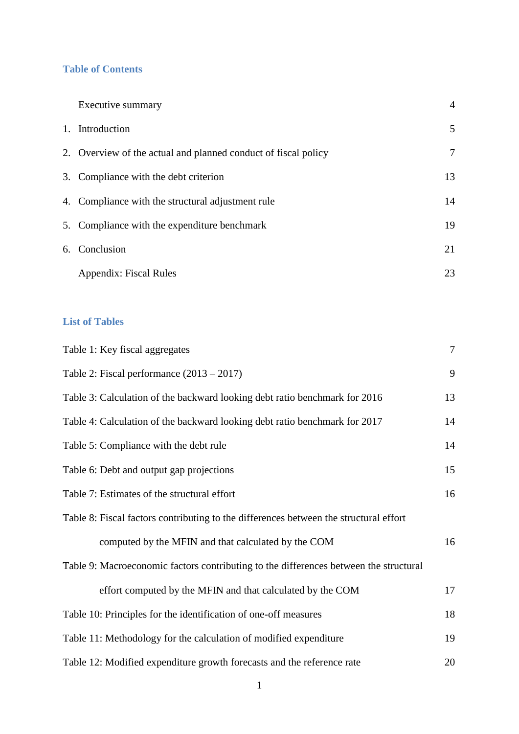# **Table of Contents**

| Executive summary                                              | $\overline{4}$ |
|----------------------------------------------------------------|----------------|
| 1. Introduction                                                | 5              |
| 2. Overview of the actual and planned conduct of fiscal policy | $\overline{7}$ |
| 3. Compliance with the debt criterion                          | 13             |
| 4. Compliance with the structural adjustment rule              | 14             |
| 5. Compliance with the expenditure benchmark                   | 19             |
| 6. Conclusion                                                  | 21             |
| Appendix: Fiscal Rules                                         | 23             |

# **List of Tables**

| Table 1: Key fiscal aggregates                                                        | $\overline{7}$ |
|---------------------------------------------------------------------------------------|----------------|
| Table 2: Fiscal performance $(2013 – 2017)$                                           | 9              |
| Table 3: Calculation of the backward looking debt ratio benchmark for 2016            | 13             |
| Table 4: Calculation of the backward looking debt ratio benchmark for 2017            | 14             |
| Table 5: Compliance with the debt rule                                                | 14             |
| Table 6: Debt and output gap projections                                              | 15             |
| Table 7: Estimates of the structural effort                                           | 16             |
| Table 8: Fiscal factors contributing to the differences between the structural effort |                |
| computed by the MFIN and that calculated by the COM                                   | 16             |
| Table 9: Macroeconomic factors contributing to the differences between the structural |                |
| effort computed by the MFIN and that calculated by the COM                            | 17             |
| Table 10: Principles for the identification of one-off measures                       | 18             |
| Table 11: Methodology for the calculation of modified expenditure                     | 19             |
| Table 12: Modified expenditure growth forecasts and the reference rate                | 20             |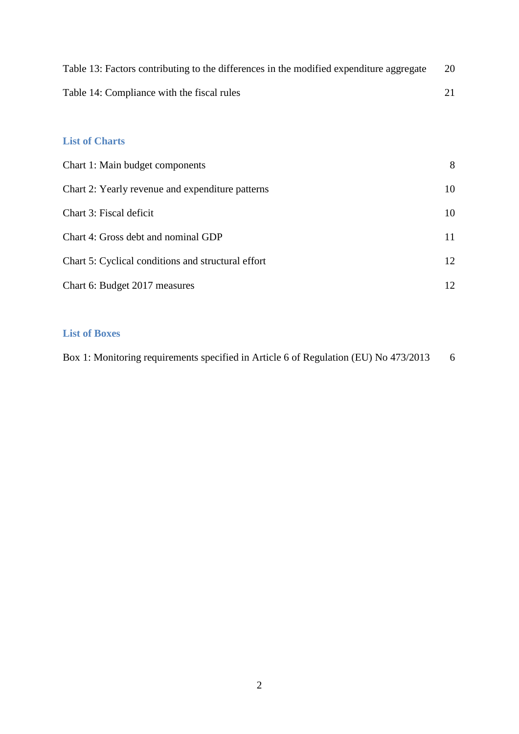| Table 13: Factors contributing to the differences in the modified expenditure aggregate | 20 |
|-----------------------------------------------------------------------------------------|----|
| Table 14: Compliance with the fiscal rules                                              |    |

# **List of Charts**

| Chart 1: Main budget components                    | 8  |
|----------------------------------------------------|----|
| Chart 2: Yearly revenue and expenditure patterns   | 10 |
| Chart 3: Fiscal deficit                            | 10 |
| Chart 4: Gross debt and nominal GDP                | 11 |
| Chart 5: Cyclical conditions and structural effort | 12 |
| Chart 6: Budget 2017 measures                      | 12 |

## **List of Boxes**

| Box 1: Monitoring requirements specified in Article 6 of Regulation (EU) No 473/2013 |  |
|--------------------------------------------------------------------------------------|--|
|                                                                                      |  |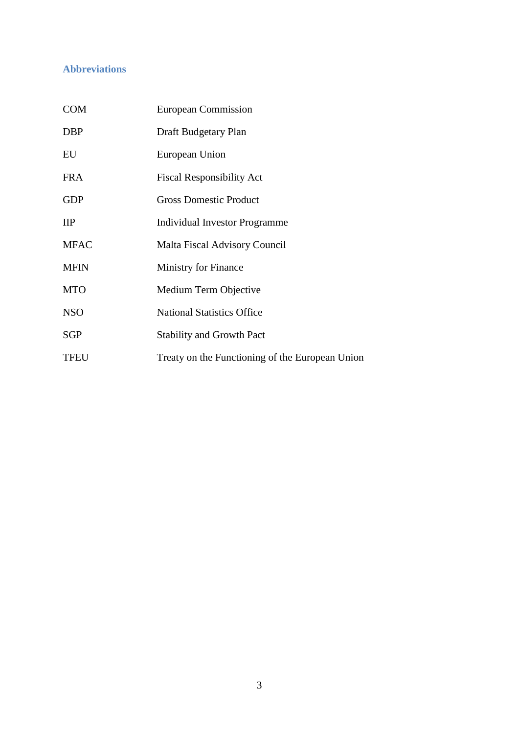# **Abbreviations**

| <b>COM</b>   | European Commission                             |
|--------------|-------------------------------------------------|
| <b>DBP</b>   | Draft Budgetary Plan                            |
| EU           | European Union                                  |
| <b>FRA</b>   | <b>Fiscal Responsibility Act</b>                |
| <b>GDP</b>   | <b>Gross Domestic Product</b>                   |
| $\mathbf{H}$ | <b>Individual Investor Programme</b>            |
| <b>MFAC</b>  | Malta Fiscal Advisory Council                   |
| <b>MFIN</b>  | <b>Ministry for Finance</b>                     |
| <b>MTO</b>   | Medium Term Objective                           |
| <b>NSO</b>   | <b>National Statistics Office</b>               |
| <b>SGP</b>   | <b>Stability and Growth Pact</b>                |
| <b>TFEU</b>  | Treaty on the Functioning of the European Union |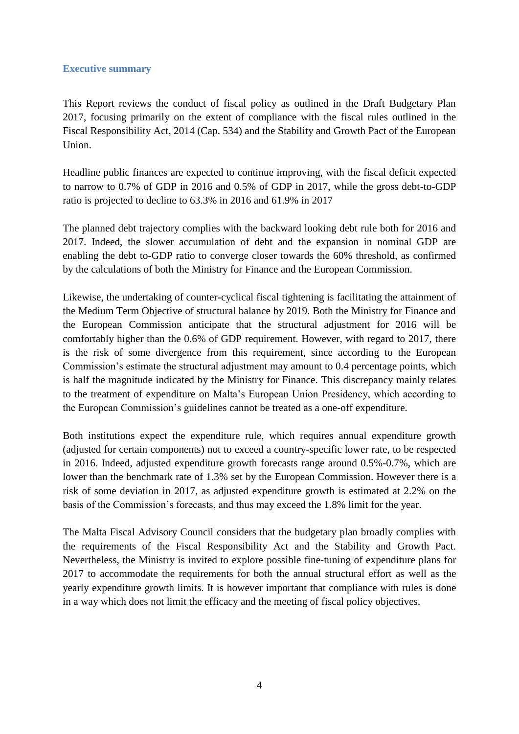#### **Executive summary**

This Report reviews the conduct of fiscal policy as outlined in the Draft Budgetary Plan 2017, focusing primarily on the extent of compliance with the fiscal rules outlined in the Fiscal Responsibility Act, 2014 (Cap. 534) and the Stability and Growth Pact of the European Union.

Headline public finances are expected to continue improving, with the fiscal deficit expected to narrow to 0.7% of GDP in 2016 and 0.5% of GDP in 2017, while the gross debt-to-GDP ratio is projected to decline to 63.3% in 2016 and 61.9% in 2017

The planned debt trajectory complies with the backward looking debt rule both for 2016 and 2017. Indeed, the slower accumulation of debt and the expansion in nominal GDP are enabling the debt to-GDP ratio to converge closer towards the 60% threshold, as confirmed by the calculations of both the Ministry for Finance and the European Commission.

Likewise, the undertaking of counter-cyclical fiscal tightening is facilitating the attainment of the Medium Term Objective of structural balance by 2019. Both the Ministry for Finance and the European Commission anticipate that the structural adjustment for 2016 will be comfortably higher than the 0.6% of GDP requirement. However, with regard to 2017, there is the risk of some divergence from this requirement, since according to the European Commission's estimate the structural adjustment may amount to 0.4 percentage points, which is half the magnitude indicated by the Ministry for Finance. This discrepancy mainly relates to the treatment of expenditure on Malta's European Union Presidency, which according to the European Commission's guidelines cannot be treated as a one-off expenditure.

Both institutions expect the expenditure rule, which requires annual expenditure growth (adjusted for certain components) not to exceed a country-specific lower rate, to be respected in 2016. Indeed, adjusted expenditure growth forecasts range around 0.5%-0.7%, which are lower than the benchmark rate of 1.3% set by the European Commission. However there is a risk of some deviation in 2017, as adjusted expenditure growth is estimated at 2.2% on the basis of the Commission's forecasts, and thus may exceed the 1.8% limit for the year.

The Malta Fiscal Advisory Council considers that the budgetary plan broadly complies with the requirements of the Fiscal Responsibility Act and the Stability and Growth Pact. Nevertheless, the Ministry is invited to explore possible fine-tuning of expenditure plans for 2017 to accommodate the requirements for both the annual structural effort as well as the yearly expenditure growth limits. It is however important that compliance with rules is done in a way which does not limit the efficacy and the meeting of fiscal policy objectives.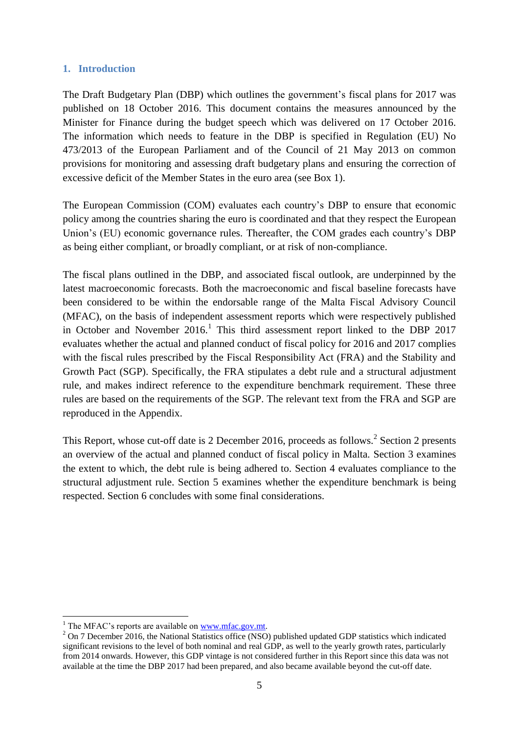#### **1. Introduction**

The Draft Budgetary Plan (DBP) which outlines the government's fiscal plans for 2017 was published on 18 October 2016. This document contains the measures announced by the Minister for Finance during the budget speech which was delivered on 17 October 2016. The information which needs to feature in the DBP is specified in Regulation (EU) No 473/2013 of the European Parliament and of the Council of 21 May 2013 on common provisions for monitoring and assessing draft budgetary plans and ensuring the correction of excessive deficit of the Member States in the euro area (see Box 1).

The European Commission (COM) evaluates each country's DBP to ensure that economic policy among the countries sharing the euro is coordinated and that they respect the European Union's (EU) economic governance rules. Thereafter, the COM grades each country's DBP as being either compliant, or broadly compliant, or at risk of non-compliance.

The fiscal plans outlined in the DBP, and associated fiscal outlook, are underpinned by the latest macroeconomic forecasts. Both the macroeconomic and fiscal baseline forecasts have been considered to be within the endorsable range of the Malta Fiscal Advisory Council (MFAC), on the basis of independent assessment reports which were respectively published in October and November 2016.<sup>1</sup> This third assessment report linked to the DBP 2017 evaluates whether the actual and planned conduct of fiscal policy for 2016 and 2017 complies with the fiscal rules prescribed by the Fiscal Responsibility Act (FRA) and the Stability and Growth Pact (SGP). Specifically, the FRA stipulates a debt rule and a structural adjustment rule, and makes indirect reference to the expenditure benchmark requirement. These three rules are based on the requirements of the SGP. The relevant text from the FRA and SGP are reproduced in the Appendix.

This Report, whose cut-off date is 2 December 2016, proceeds as follows.<sup>2</sup> Section 2 presents an overview of the actual and planned conduct of fiscal policy in Malta. Section 3 examines the extent to which, the debt rule is being adhered to. Section 4 evaluates compliance to the structural adjustment rule. Section 5 examines whether the expenditure benchmark is being respected. Section 6 concludes with some final considerations.

<sup>&</sup>lt;u>.</u>  $1$  The MFAC's reports are available on [www.mfac.gov.mt.](http://www.mfac.gov.mt/)

<sup>&</sup>lt;sup>2</sup> On 7 December 2016, the National Statistics office (NSO) published updated GDP statistics which indicated significant revisions to the level of both nominal and real GDP, as well to the yearly growth rates, particularly from 2014 onwards. However, this GDP vintage is not considered further in this Report since this data was not available at the time the DBP 2017 had been prepared, and also became available beyond the cut-off date.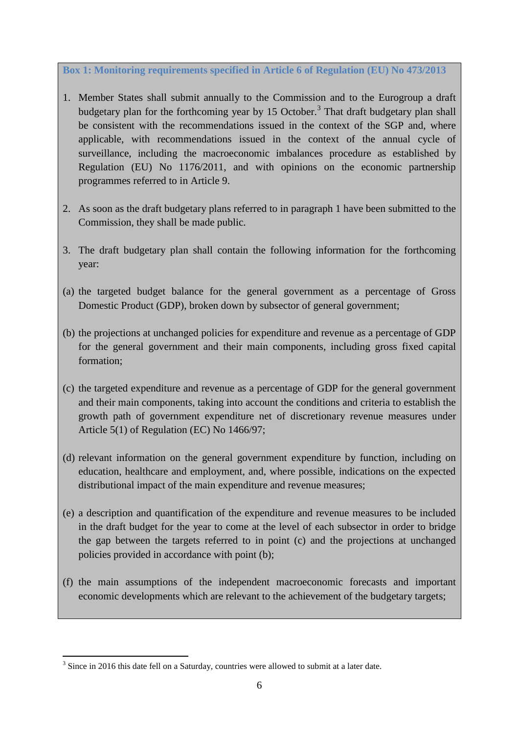**Box 1: Monitoring requirements specified in Article 6 of Regulation (EU) No 473/2013**

- 1. Member States shall submit annually to the Commission and to the Eurogroup a draft budgetary plan for the forthcoming year by 15 October.<sup>3</sup> That draft budgetary plan shall be consistent with the recommendations issued in the context of the SGP and, where applicable, with recommendations issued in the context of the annual cycle of surveillance, including the macroeconomic imbalances procedure as established by Regulation (EU) No 1176/2011, and with opinions on the economic partnership programmes referred to in Article 9.
- 2. As soon as the draft budgetary plans referred to in paragraph 1 have been submitted to the Commission, they shall be made public.
- 3. The draft budgetary plan shall contain the following information for the forthcoming year:
- (a) the targeted budget balance for the general government as a percentage of Gross Domestic Product (GDP), broken down by subsector of general government;
- (b) the projections at unchanged policies for expenditure and revenue as a percentage of GDP for the general government and their main components, including gross fixed capital formation;
- (c) the targeted expenditure and revenue as a percentage of GDP for the general government and their main components, taking into account the conditions and criteria to establish the growth path of government expenditure net of discretionary revenue measures under Article 5(1) of Regulation (EC) No 1466/97;
- (d) relevant information on the general government expenditure by function, including on education, healthcare and employment, and, where possible, indications on the expected distributional impact of the main expenditure and revenue measures;
- (e) a description and quantification of the expenditure and revenue measures to be included in the draft budget for the year to come at the level of each subsector in order to bridge the gap between the targets referred to in point (c) and the projections at unchanged policies provided in accordance with point (b);
- (f) the main assumptions of the independent macroeconomic forecasts and important economic developments which are relevant to the achievement of the budgetary targets;

1

 $3$  Since in 2016 this date fell on a Saturday, countries were allowed to submit at a later date.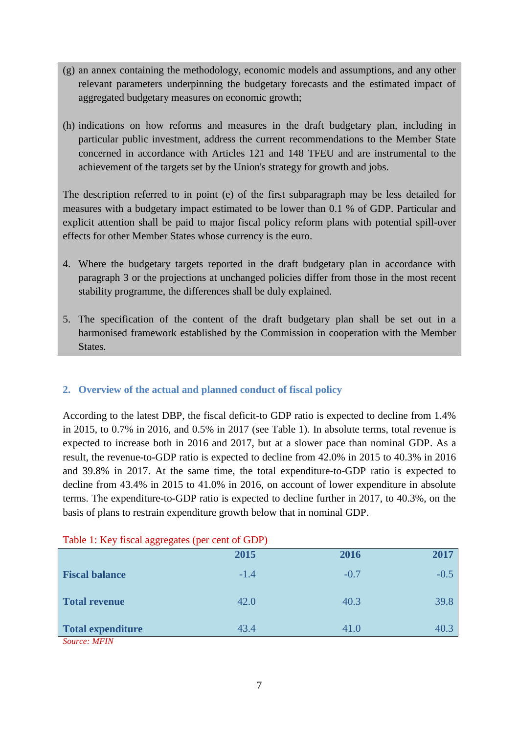- (g) an annex containing the methodology, economic models and assumptions, and any other relevant parameters underpinning the budgetary forecasts and the estimated impact of aggregated budgetary measures on economic growth;
- (h) indications on how reforms and measures in the draft budgetary plan, including in particular public investment, address the current recommendations to the Member State concerned in accordance with Articles 121 and 148 TFEU and are instrumental to the achievement of the targets set by the Union's strategy for growth and jobs.

The description referred to in point (e) of the first subparagraph may be less detailed for measures with a budgetary impact estimated to be lower than 0.1 % of GDP. Particular and explicit attention shall be paid to major fiscal policy reform plans with potential spill-over effects for other Member States whose currency is the euro.

- 4. Where the budgetary targets reported in the draft budgetary plan in accordance with paragraph 3 or the projections at unchanged policies differ from those in the most recent stability programme, the differences shall be duly explained.
- 5. The specification of the content of the draft budgetary plan shall be set out in a harmonised framework established by the Commission in cooperation with the Member States.

# **2. Overview of the actual and planned conduct of fiscal policy**

According to the latest DBP, the fiscal deficit-to GDP ratio is expected to decline from 1.4% in 2015, to 0.7% in 2016, and 0.5% in 2017 (see Table 1). In absolute terms, total revenue is expected to increase both in 2016 and 2017, but at a slower pace than nominal GDP. As a result, the revenue-to-GDP ratio is expected to decline from 42.0% in 2015 to 40.3% in 2016 and 39.8% in 2017. At the same time, the total expenditure-to-GDP ratio is expected to decline from 43.4% in 2015 to 41.0% in 2016, on account of lower expenditure in absolute terms. The expenditure-to-GDP ratio is expected to decline further in 2017, to 40.3%, on the basis of plans to restrain expenditure growth below that in nominal GDP.

| $1.0001.1001$ $1.0001$ $1.0001$ $1.001$ $1.001$ $1.001$ |        |        |        |  |  |
|---------------------------------------------------------|--------|--------|--------|--|--|
|                                                         | 2015   | 2016   | 2017   |  |  |
| <b>Fiscal balance</b>                                   | $-1.4$ | $-0.7$ | $-0.5$ |  |  |
| <b>Total revenue</b>                                    | 42.0   | 40.3   | 39.8   |  |  |
| Total expenditure                                       | 43.4   | 41.0   | 40.3   |  |  |
| $C_1, \ldots, C_n$ $M$ $T$ $N$ $I$                      |        |        |        |  |  |

Table  $1:$  Key fiscal aggregates (per cent of GDP)

*Source: MFIN*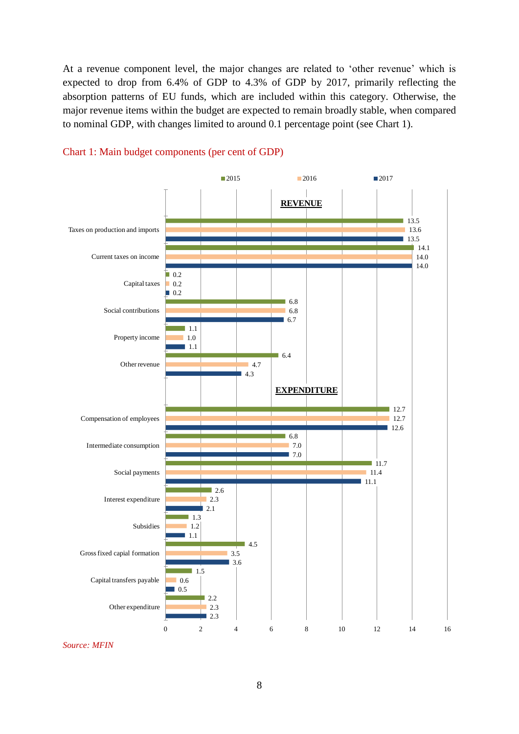At a revenue component level, the major changes are related to 'other revenue' which is expected to drop from 6.4% of GDP to 4.3% of GDP by 2017, primarily reflecting the absorption patterns of EU funds, which are included within this category. Otherwise, the major revenue items within the budget are expected to remain broadly stable, when compared to nominal GDP, with changes limited to around 0.1 percentage point (see Chart 1).





*Source: MFIN*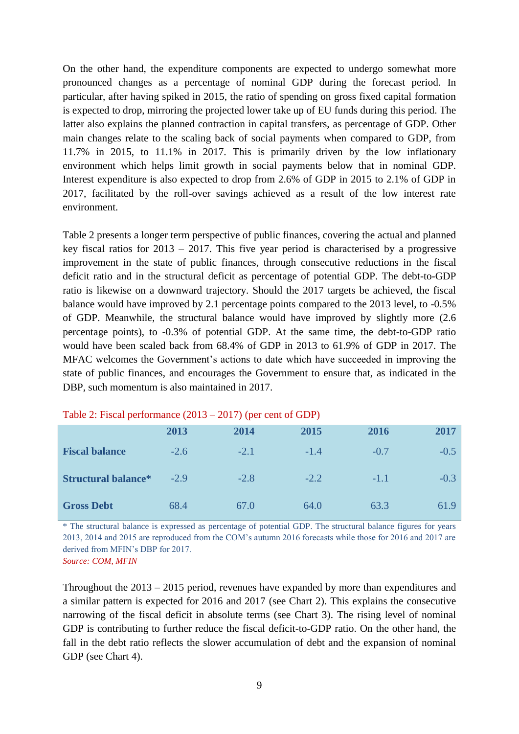On the other hand, the expenditure components are expected to undergo somewhat more pronounced changes as a percentage of nominal GDP during the forecast period. In particular, after having spiked in 2015, the ratio of spending on gross fixed capital formation is expected to drop, mirroring the projected lower take up of EU funds during this period. The latter also explains the planned contraction in capital transfers, as percentage of GDP. Other main changes relate to the scaling back of social payments when compared to GDP, from 11.7% in 2015, to 11.1% in 2017. This is primarily driven by the low inflationary environment which helps limit growth in social payments below that in nominal GDP. Interest expenditure is also expected to drop from 2.6% of GDP in 2015 to 2.1% of GDP in 2017, facilitated by the roll-over savings achieved as a result of the low interest rate environment.

Table 2 presents a longer term perspective of public finances, covering the actual and planned key fiscal ratios for 2013 – 2017. This five year period is characterised by a progressive improvement in the state of public finances, through consecutive reductions in the fiscal deficit ratio and in the structural deficit as percentage of potential GDP. The debt-to-GDP ratio is likewise on a downward trajectory. Should the 2017 targets be achieved, the fiscal balance would have improved by 2.1 percentage points compared to the 2013 level, to -0.5% of GDP. Meanwhile, the structural balance would have improved by slightly more (2.6 percentage points), to -0.3% of potential GDP. At the same time, the debt-to-GDP ratio would have been scaled back from 68.4% of GDP in 2013 to 61.9% of GDP in 2017. The MFAC welcomes the Government's actions to date which have succeeded in improving the state of public finances, and encourages the Government to ensure that, as indicated in the DBP, such momentum is also maintained in 2017.

|                            | 2013   | 2014   | 2015   | 2016   | 2017   |
|----------------------------|--------|--------|--------|--------|--------|
| <b>Fiscal balance</b>      | $-2.6$ | $-2.1$ | $-1.4$ | $-0.7$ | $-0.5$ |
| <b>Structural balance*</b> | $-2.9$ | $-2.8$ | $-2.2$ | $-1.1$ | $-0.3$ |
| <b>Gross Debt</b>          | 68.4   | 67.0   | 64.0   | 63.3   | 61.9   |

Table 2: Fiscal performance (2013 – 2017) (per cent of GDP)

\* The structural balance is expressed as percentage of potential GDP. The structural balance figures for years 2013, 2014 and 2015 are reproduced from the COM's autumn 2016 forecasts while those for 2016 and 2017 are derived from MFIN's DBP for 2017.

*Source: COM, MFIN*

Throughout the 2013 – 2015 period, revenues have expanded by more than expenditures and a similar pattern is expected for 2016 and 2017 (see Chart 2). This explains the consecutive narrowing of the fiscal deficit in absolute terms (see Chart 3). The rising level of nominal GDP is contributing to further reduce the fiscal deficit-to-GDP ratio. On the other hand, the fall in the debt ratio reflects the slower accumulation of debt and the expansion of nominal GDP (see Chart 4).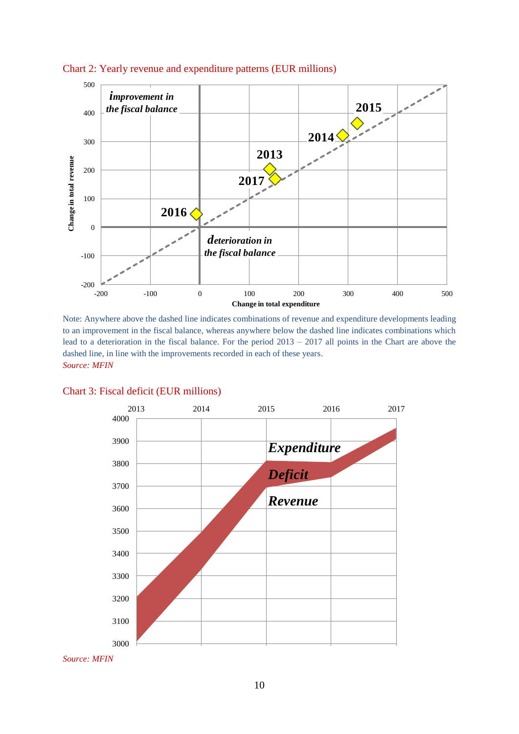

#### Chart 2: Yearly revenue and expenditure patterns (EUR millions)

Note: Anywhere above the dashed line indicates combinations of revenue and expenditure developments leading to an improvement in the fiscal balance, whereas anywhere below the dashed line indicates combinations which lead to a deterioration in the fiscal balance. For the period 2013 – 2017 all points in the Chart are above the dashed line, in line with the improvements recorded in each of these years. *Source: MFIN*



#### Chart 3: Fiscal deficit (EUR millions)

*Source: MFIN*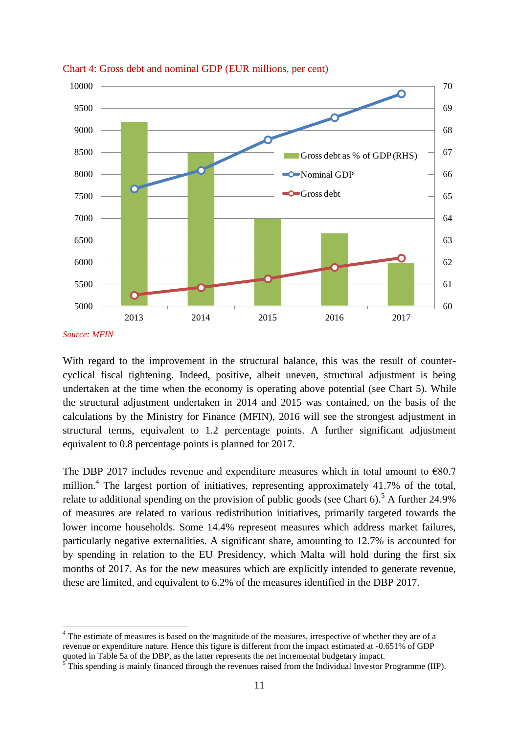

Chart 4: Gross debt and nominal GDP (EUR millions, per cent)

*Source: MFIN*

1

With regard to the improvement in the structural balance, this was the result of countercyclical fiscal tightening. Indeed, positive, albeit uneven, structural adjustment is being undertaken at the time when the economy is operating above potential (see Chart 5). While the structural adjustment undertaken in 2014 and 2015 was contained, on the basis of the calculations by the Ministry for Finance (MFIN), 2016 will see the strongest adjustment in structural terms, equivalent to 1.2 percentage points. A further significant adjustment equivalent to 0.8 percentage points is planned for 2017.

The DBP 2017 includes revenue and expenditure measures which in total amount to  $\epsilon$ 80.7 million.<sup>4</sup> The largest portion of initiatives, representing approximately 41.7% of the total, relate to additional spending on the provision of public goods (see Chart 6).<sup>5</sup> A further 24.9% of measures are related to various redistribution initiatives, primarily targeted towards the lower income households. Some 14.4% represent measures which address market failures, particularly negative externalities. A significant share, amounting to 12.7% is accounted for by spending in relation to the EU Presidency, which Malta will hold during the first six months of 2017. As for the new measures which are explicitly intended to generate revenue, these are limited, and equivalent to 6.2% of the measures identified in the DBP 2017.

<sup>&</sup>lt;sup>4</sup> The estimate of measures is based on the magnitude of the measures, irrespective of whether they are of a revenue or expenditure nature. Hence this figure is different from the impact estimated at -0.651% of GDP quoted in Table 5a of the DBP, as the latter represents the net incremental budgetary impact.

 $5$  This spending is mainly financed through the revenues raised from the Individual Investor Programme (IIP).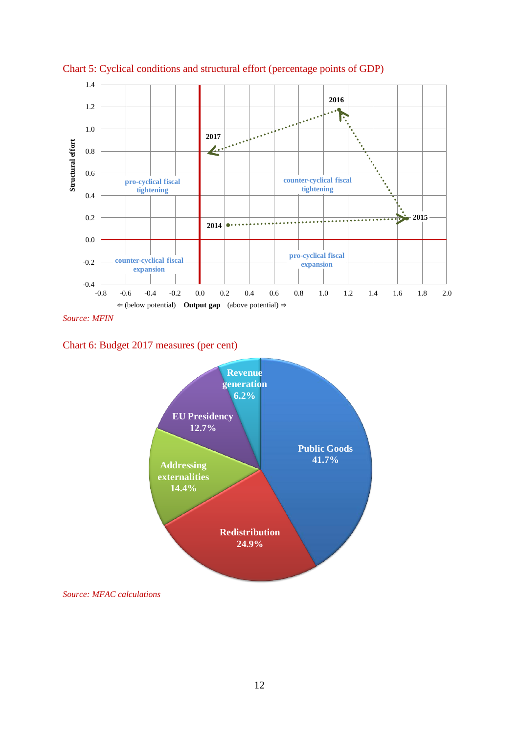

Chart 5: Cyclical conditions and structural effort (percentage points of GDP)

*Source: MFIN*

Chart 6: Budget 2017 measures (per cent)



*Source: MFAC calculations*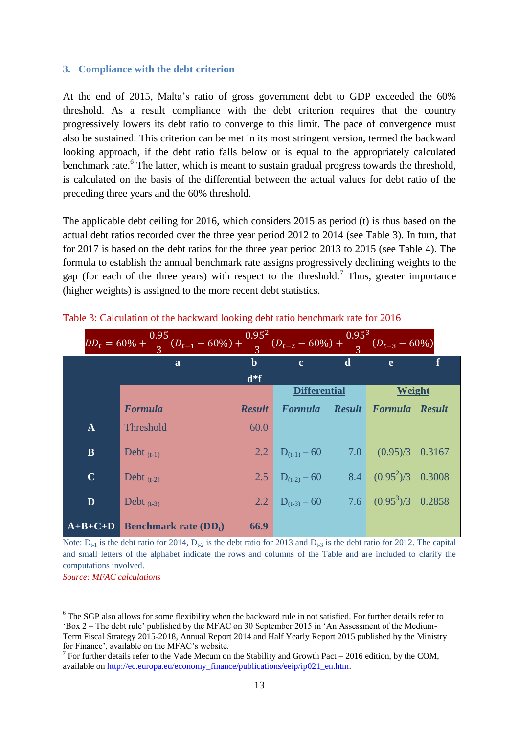#### **3. Compliance with the debt criterion**

At the end of 2015, Malta's ratio of gross government debt to GDP exceeded the 60% threshold. As a result compliance with the debt criterion requires that the country progressively lowers its debt ratio to converge to this limit. The pace of convergence must also be sustained. This criterion can be met in its most stringent version, termed the backward looking approach, if the debt ratio falls below or is equal to the appropriately calculated benchmark rate.<sup>6</sup> The latter, which is meant to sustain gradual progress towards the threshold, is calculated on the basis of the differential between the actual values for debt ratio of the preceding three years and the 60% threshold.

The applicable debt ceiling for 2016, which considers 2015 as period (t) is thus based on the actual debt ratios recorded over the three year period 2012 to 2014 (see Table 3). In turn, that for 2017 is based on the debt ratios for the three year period 2013 to 2015 (see Table 4). The formula to establish the annual benchmark rate assigns progressively declining weights to the gap (for each of the three years) with respect to the threshold.<sup>7</sup> Thus, greater importance (higher weights) is assigned to the more recent debt statistics.

| $DD_t = 60\% + \frac{0.95}{3}(D_{t-1} - 60\%) + \frac{0.95^2}{3}(D_{t-2} - 60\%) + \frac{0.95^3}{3}(D_{t-3} - 60\%)$ |                                           |               |                     |   |                                     |  |  |
|----------------------------------------------------------------------------------------------------------------------|-------------------------------------------|---------------|---------------------|---|-------------------------------------|--|--|
|                                                                                                                      | a                                         | b             | $\mathbf{c}$        | d | $\mathbf{e}$                        |  |  |
|                                                                                                                      |                                           | $d*f$         |                     |   |                                     |  |  |
|                                                                                                                      |                                           |               | <b>Differential</b> |   | Weight                              |  |  |
|                                                                                                                      | <b>Formula</b>                            | <b>Result</b> |                     |   | Formula Result Formula Result       |  |  |
| $\mathbf{A}$                                                                                                         | Threshold                                 | 60.0          |                     |   |                                     |  |  |
| $\mathbf{B}$                                                                                                         | Debt $(t-1)$                              | 2.2           | $D_{(t-1)}$ – 60    |   | $7.0\qquad(0.95)/3\quad0.3167$      |  |  |
| $\mathbf C$                                                                                                          | Debt $(t-2)$                              | 2.5           | $D_{(t-2)}$ – 60    |   | 8.4 $(0.95^2)/3$ 0.3008             |  |  |
| D                                                                                                                    | Debt $(t-3)$                              | $2.2^{\circ}$ | $D_{(t-3)} - 60$    |   | $7.6\qquad (0.95^3)/3\qquad 0.2858$ |  |  |
| $A+B+C+D$                                                                                                            | <b>Benchmark rate <math>(DD_t)</math></b> | 66.9          |                     |   |                                     |  |  |

Table 3: Calculation of the backward looking debt ratio benchmark rate for 2016

Note:  $D_{t-1}$  is the debt ratio for 2014,  $D_{t-2}$  is the debt ratio for 2013 and  $D_{t-3}$  is the debt ratio for 2012. The capital and small letters of the alphabet indicate the rows and columns of the Table and are included to clarify the computations involved.

*Source: MFAC calculations*

1

<sup>&</sup>lt;sup>6</sup> The SGP also allows for some flexibility when the backward rule in not satisfied. For further details refer to 'Box 2 – The debt rule' published by the MFAC on 30 September 2015 in 'An Assessment of the Medium-Term Fiscal Strategy 2015-2018, Annual Report 2014 and Half Yearly Report 2015 published by the Ministry for Finance', available on the MFAC's website.

<sup>&</sup>lt;sup>7</sup> For further details refer to the Vade Mecum on the Stability and Growth Pact – 2016 edition, by the COM, available on [http://ec.europa.eu/economy\\_finance/publications/eeip/ip021\\_en.htm.](http://ec.europa.eu/economy_finance/publications/eeip/ip021_en.htm)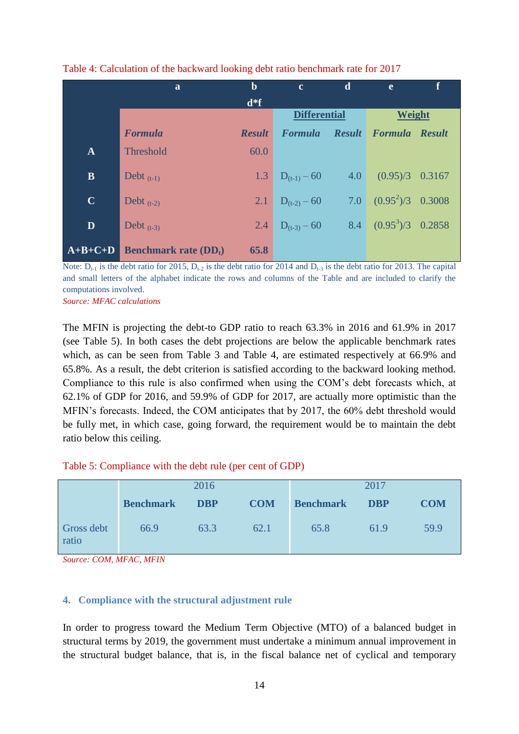|              | a                           | $\mathbf b$   | $\mathbf{c}$        | $\mathbf d$ | $\mathbf{e}$                 | f |
|--------------|-----------------------------|---------------|---------------------|-------------|------------------------------|---|
|              |                             | $d*f$         |                     |             |                              |   |
|              |                             |               | <b>Differential</b> |             | Weight                       |   |
|              | <b>Formula</b>              | <b>Result</b> | <b>Formula</b>      |             | <b>Result Formula Result</b> |   |
| $\mathbf{A}$ | Threshold                   | 60.0          |                     |             |                              |   |
| $\mathbf{B}$ | Debt $(t-1)$                | 1.3           | $D_{(t-1)}$ – 60    |             | $4.0$ $(0.95)/3$ $0.3167$    |   |
| $\mathbf C$  | Debt $(t-2)$                | 2.1           | $D_{(t-2)}$ – 60    |             | 7.0 $(0.95^2)/3$ 0.3008      |   |
| D            | Debt $(t-3)$                | 2.4           | $D_{(t-3)} - 60$    |             | 8.4 $(0.95^3)/3$ 0.2858      |   |
| $A+B+C+D$    | <b>Benchmark rate (DDt)</b> | 65.8          |                     |             |                              |   |

#### Table 4: Calculation of the backward looking debt ratio benchmark rate for 2017

Note:  $D_{t-1}$  is the debt ratio for 2015,  $D_{t-2}$  is the debt ratio for 2014 and  $D_{t-3}$  is the debt ratio for 2013. The capital and small letters of the alphabet indicate the rows and columns of the Table and are included to clarify the computations involved.

*Source: MFAC calculations*

The MFIN is projecting the debt-to GDP ratio to reach 63.3% in 2016 and 61.9% in 2017 (see Table 5). In both cases the debt projections are below the applicable benchmark rates which, as can be seen from Table 3 and Table 4, are estimated respectively at 66.9% and 65.8%. As a result, the debt criterion is satisfied according to the backward looking method. Compliance to this rule is also confirmed when using the COM's debt forecasts which, at 62.1% of GDP for 2016, and 59.9% of GDP for 2017, are actually more optimistic than the MFIN's forecasts. Indeed, the COM anticipates that by 2017, the 60% debt threshold would be fully met, in which case, going forward, the requirement would be to maintain the debt ratio below this ceiling.

#### Table 5: Compliance with the debt rule (per cent of GDP)

|                     | 2016             |            |            | 2017             |            |            |
|---------------------|------------------|------------|------------|------------------|------------|------------|
|                     | <b>Benchmark</b> | <b>DBP</b> | <b>COM</b> | <b>Benchmark</b> | <b>DBP</b> | <b>COM</b> |
| Gross debt<br>ratio | 66.9             | 63.3       | 62.1       | 65.8             | 61.9       | 59.9       |

*Source: COM, MFAC, MFIN*

## **4. Compliance with the structural adjustment rule**

In order to progress toward the Medium Term Objective (MTO) of a balanced budget in structural terms by 2019, the government must undertake a minimum annual improvement in the structural budget balance, that is, in the fiscal balance net of cyclical and temporary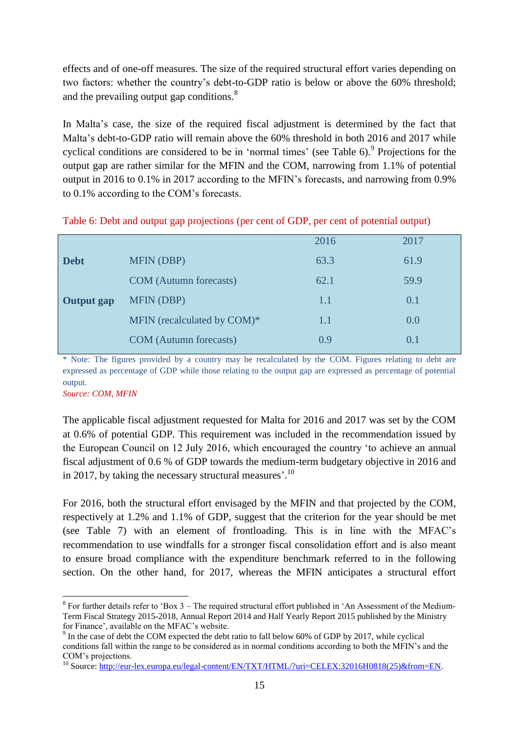effects and of one-off measures. The size of the required structural effort varies depending on two factors: whether the country's debt-to-GDP ratio is below or above the 60% threshold; and the prevailing output gap conditions.<sup>8</sup>

In Malta's case, the size of the required fiscal adjustment is determined by the fact that Malta's debt-to-GDP ratio will remain above the 60% threshold in both 2016 and 2017 while cyclical conditions are considered to be in 'normal times' (see Table  $6$ ). Projections for the output gap are rather similar for the MFIN and the COM, narrowing from 1.1% of potential output in 2016 to 0.1% in 2017 according to the MFIN's forecasts, and narrowing from 0.9% to 0.1% according to the COM's forecasts.

|  | Table 6: Debt and output gap projections (per cent of GDP, per cent of potential output) |  |
|--|------------------------------------------------------------------------------------------|--|
|--|------------------------------------------------------------------------------------------|--|

|                   |                               | 2016 | 2017 |  |
|-------------------|-------------------------------|------|------|--|
| <b>Debt</b>       | <b>MFIN (DBP)</b>             | 63.3 | 61.9 |  |
|                   | <b>COM</b> (Autumn forecasts) | 62.1 | 59.9 |  |
| <b>Output</b> gap | <b>MFIN (DBP)</b>             | 1.1  | 0.1  |  |
|                   | MFIN (recalculated by COM)*   | 1.1  | 0.0  |  |
|                   | <b>COM</b> (Autumn forecasts) | 0.9  | 0.1  |  |

Note: The figures provided by a country may be recalculated by the COM. Figures relating to debt are expressed as percentage of GDP while those relating to the output gap are expressed as percentage of potential output.

*Source: COM, MFIN*

1

The applicable fiscal adjustment requested for Malta for 2016 and 2017 was set by the COM at 0.6% of potential GDP. This requirement was included in the recommendation issued by the European Council on 12 July 2016, which encouraged the country 'to achieve an annual fiscal adjustment of 0.6 % of GDP towards the medium-term budgetary objective in 2016 and in 2017, by taking the necessary structural measures'.<sup>10</sup>

For 2016, both the structural effort envisaged by the MFIN and that projected by the COM, respectively at 1.2% and 1.1% of GDP, suggest that the criterion for the year should be met (see Table 7) with an element of frontloading. This is in line with the MFAC's recommendation to use windfalls for a stronger fiscal consolidation effort and is also meant to ensure broad compliance with the expenditure benchmark referred to in the following section. On the other hand, for 2017, whereas the MFIN anticipates a structural effort

 $8$  For further details refer to 'Box 3 – The required structural effort published in 'An Assessment of the Medium-Term Fiscal Strategy 2015-2018, Annual Report 2014 and Half Yearly Report 2015 published by the Ministry for Finance', available on the MFAC's website.

 $9<sup>9</sup>$  In the case of debt the COM expected the debt ratio to fall below 60% of GDP by 2017, while cyclical conditions fall within the range to be considered as in normal conditions according to both the MFIN's and the COM's projections.

<sup>&</sup>lt;sup>10</sup> Source: [http://eur-lex.europa.eu/legal-content/EN/TXT/HTML/?uri=CELEX:32016H0818\(25\)&from=EN.](http://eur-lex.europa.eu/legal-content/EN/TXT/HTML/?uri=CELEX:32016H0818(25)&from=EN)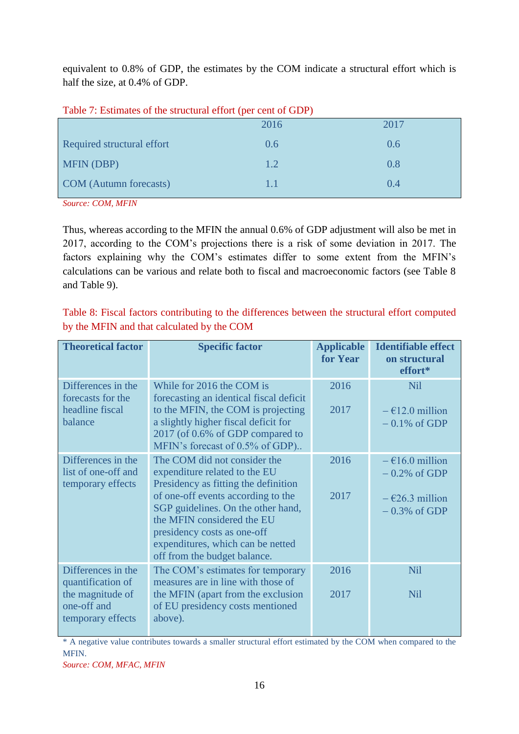equivalent to 0.8% of GDP, the estimates by the COM indicate a structural effort which is half the size, at 0.4% of GDP.

|                               | 2016 | 2017 |
|-------------------------------|------|------|
| Required structural effort    | 0.6  | 0.6  |
| <b>MFIN (DBP)</b>             | 1.2  | 0.8  |
| <b>COM</b> (Autumn forecasts) | 1.1  | 0.4  |

Table 7: Estimates of the structural effort (per cent of GDP)

*Source: COM, MFIN*

Thus, whereas according to the MFIN the annual 0.6% of GDP adjustment will also be met in 2017, according to the COM's projections there is a risk of some deviation in 2017. The factors explaining why the COM's estimates differ to some extent from the MFIN's calculations can be various and relate both to fiscal and macroeconomic factors (see Table 8 and Table 9).

Table 8: Fiscal factors contributing to the differences between the structural effort computed by the MFIN and that calculated by the COM

| <b>Theoretical factor</b>                                                                       | <b>Specific factor</b>                                                                                                                                                                                                                                                                                              | <b>Applicable</b><br>for Year | <b>Identifiable effect</b><br>on structural<br>effort*                                     |
|-------------------------------------------------------------------------------------------------|---------------------------------------------------------------------------------------------------------------------------------------------------------------------------------------------------------------------------------------------------------------------------------------------------------------------|-------------------------------|--------------------------------------------------------------------------------------------|
| Differences in the<br>forecasts for the<br>headline fiscal<br>balance                           | While for 2016 the COM is<br>forecasting an identical fiscal deficit<br>to the MFIN, the COM is projecting<br>a slightly higher fiscal deficit for<br>2017 (of 0.6% of GDP compared to<br>MFIN's forecast of 0.5% of GDP)                                                                                           | 2016<br>2017                  | Nil<br>$-\epsilon$ 12.0 million<br>$-0.1\%$ of GDP                                         |
| Differences in the<br>list of one-off and<br>temporary effects                                  | The COM did not consider the<br>expenditure related to the EU<br>Presidency as fitting the definition<br>of one-off events according to the<br>SGP guidelines. On the other hand,<br>the MFIN considered the EU<br>presidency costs as one-off<br>expenditures, which can be netted<br>off from the budget balance. | 2016<br>2017                  | $-\epsilon$ 16.0 million<br>$-0.2\%$ of GDP<br>$-\epsilon$ 26.3 million<br>$-0.3\%$ of GDP |
| Differences in the<br>quantification of<br>the magnitude of<br>one-off and<br>temporary effects | The COM's estimates for temporary<br>measures are in line with those of<br>the MFIN (apart from the exclusion<br>of EU presidency costs mentioned<br>above).                                                                                                                                                        | 2016<br>2017                  | Nil<br><b>Nil</b>                                                                          |

\* A negative value contributes towards a smaller structural effort estimated by the COM when compared to the MFIN.

*Source: COM, MFAC, MFIN*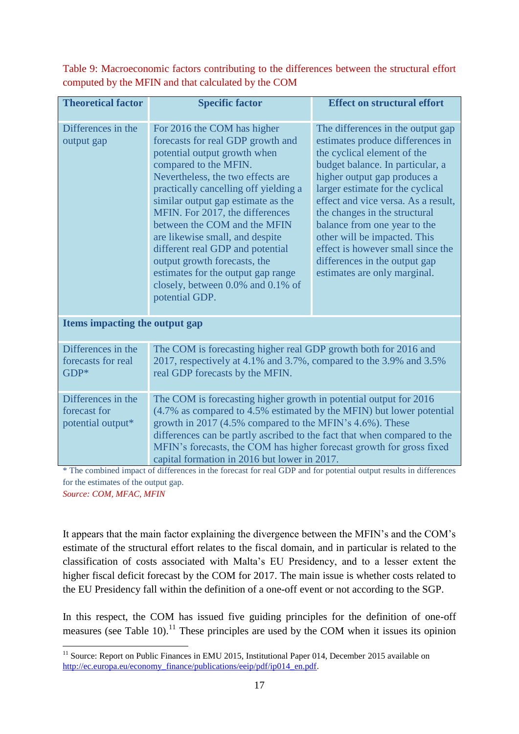Table 9: Macroeconomic factors contributing to the differences between the structural effort computed by the MFIN and that calculated by the COM

| <b>Theoretical factor</b>                                                            | <b>Specific factor</b>                                                                                                                                                                                                                                                                                                                                                                                                                                                                                               | <b>Effect on structural effort</b>                                                                                                                                                                                                                                                                                                                                                                                                                         |  |  |  |  |
|--------------------------------------------------------------------------------------|----------------------------------------------------------------------------------------------------------------------------------------------------------------------------------------------------------------------------------------------------------------------------------------------------------------------------------------------------------------------------------------------------------------------------------------------------------------------------------------------------------------------|------------------------------------------------------------------------------------------------------------------------------------------------------------------------------------------------------------------------------------------------------------------------------------------------------------------------------------------------------------------------------------------------------------------------------------------------------------|--|--|--|--|
| Differences in the<br>output gap                                                     | For 2016 the COM has higher<br>forecasts for real GDP growth and<br>potential output growth when<br>compared to the MFIN.<br>Nevertheless, the two effects are<br>practically cancelling off yielding a<br>similar output gap estimate as the<br>MFIN. For 2017, the differences<br>between the COM and the MFIN<br>are likewise small, and despite<br>different real GDP and potential<br>output growth forecasts, the<br>estimates for the output gap range<br>closely, between 0.0% and 0.1% of<br>potential GDP. | The differences in the output gap<br>estimates produce differences in<br>the cyclical element of the<br>budget balance. In particular, a<br>higher output gap produces a<br>larger estimate for the cyclical<br>effect and vice versa. As a result,<br>the changes in the structural<br>balance from one year to the<br>other will be impacted. This<br>effect is however small since the<br>differences in the output gap<br>estimates are only marginal. |  |  |  |  |
| Items impacting the output gap                                                       |                                                                                                                                                                                                                                                                                                                                                                                                                                                                                                                      |                                                                                                                                                                                                                                                                                                                                                                                                                                                            |  |  |  |  |
| Differences in the<br>forecasts for real<br>GDP*                                     | The COM is forecasting higher real GDP growth both for 2016 and<br>2017, respectively at 4.1% and 3.7%, compared to the 3.9% and 3.5%<br>real GDP forecasts by the MFIN.                                                                                                                                                                                                                                                                                                                                             |                                                                                                                                                                                                                                                                                                                                                                                                                                                            |  |  |  |  |
| Differences in the<br>forecast for<br>potential output*<br>4.701<br>1.3.1<br>$-11.5$ | The COM is forecasting higher growth in potential output for 2016<br>(4.7% as compared to 4.5% estimated by the MFIN) but lower potential<br>growth in 2017 (4.5% compared to the MFIN's 4.6%). These<br>differences can be partly ascribed to the fact that when compared to the<br>MFIN's forecasts, the COM has higher forecast growth for gross fixed<br>capital formation in 2016 but lower in 2017.<br>dall'italianoni<br>$\mathcal{L}$ . $\mathcal{L}$ . $\mathcal{L}$<br>$1$ $CDD = 1$ $C$                   |                                                                                                                                                                                                                                                                                                                                                                                                                                                            |  |  |  |  |

\* The combined impact of differences in the forecast for real GDP and for potential output results in differences for the estimates of the output gap.

*Source: COM, MFAC, MFIN*

It appears that the main factor explaining the divergence between the MFIN's and the COM's estimate of the structural effort relates to the fiscal domain, and in particular is related to the classification of costs associated with Malta's EU Presidency, and to a lesser extent the higher fiscal deficit forecast by the COM for 2017. The main issue is whether costs related to the EU Presidency fall within the definition of a one-off event or not according to the SGP.

In this respect, the COM has issued five guiding principles for the definition of one-off measures (see Table 10).<sup>11</sup> These principles are used by the COM when it issues its opinion

<sup>1</sup> <sup>11</sup> Source: Report on Public Finances in EMU 2015, Institutional Paper 014, December 2015 available on http://ec.europa.eu/economy\_finance/publications/eeip/pdf/ip014\_en.pdf.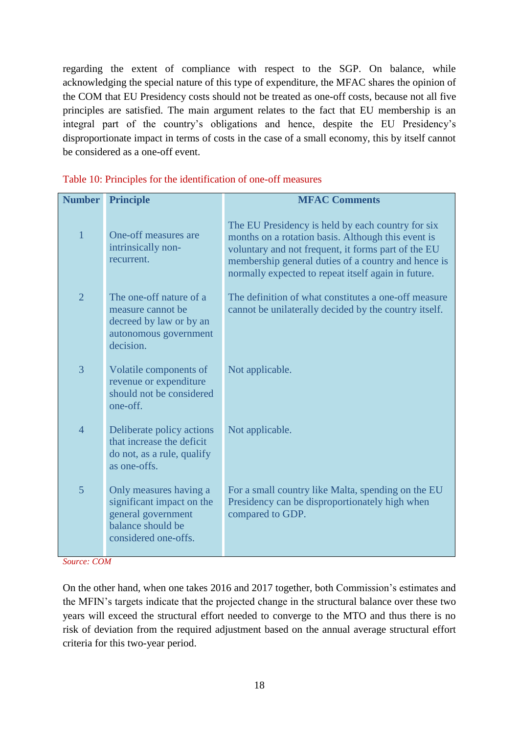regarding the extent of compliance with respect to the SGP. On balance, while acknowledging the special nature of this type of expenditure, the MFAC shares the opinion of the COM that EU Presidency costs should not be treated as one-off costs, because not all five principles are satisfied. The main argument relates to the fact that EU membership is an integral part of the country's obligations and hence, despite the EU Presidency's disproportionate impact in terms of costs in the case of a small economy, this by itself cannot be considered as a one-off event.

| <b>Number</b>  | <b>Principle</b>                                                                                                       | <b>MFAC Comments</b>                                                                                                                                                                                                                                                         |
|----------------|------------------------------------------------------------------------------------------------------------------------|------------------------------------------------------------------------------------------------------------------------------------------------------------------------------------------------------------------------------------------------------------------------------|
| $\overline{1}$ | One-off measures are<br>intrinsically non-<br>recurrent.                                                               | The EU Presidency is held by each country for six<br>months on a rotation basis. Although this event is<br>voluntary and not frequent, it forms part of the EU<br>membership general duties of a country and hence is<br>normally expected to repeat itself again in future. |
| $\overline{2}$ | The one-off nature of a<br>measure cannot be<br>decreed by law or by an<br>autonomous government<br>decision.          | The definition of what constitutes a one-off measure<br>cannot be unilaterally decided by the country itself.                                                                                                                                                                |
| 3              | Volatile components of<br>revenue or expenditure<br>should not be considered<br>one-off.                               | Not applicable.                                                                                                                                                                                                                                                              |
| $\overline{4}$ | Deliberate policy actions<br>that increase the deficit<br>do not, as a rule, qualify<br>as one-offs.                   | Not applicable.                                                                                                                                                                                                                                                              |
| 5              | Only measures having a<br>significant impact on the<br>general government<br>balance should be<br>considered one-offs. | For a small country like Malta, spending on the EU<br>Presidency can be disproportionately high when<br>compared to GDP.                                                                                                                                                     |
|                |                                                                                                                        |                                                                                                                                                                                                                                                                              |

#### Table 10: Principles for the identification of one-off measures

*Source: COM*

On the other hand, when one takes 2016 and 2017 together, both Commission's estimates and the MFIN's targets indicate that the projected change in the structural balance over these two years will exceed the structural effort needed to converge to the MTO and thus there is no risk of deviation from the required adjustment based on the annual average structural effort criteria for this two-year period.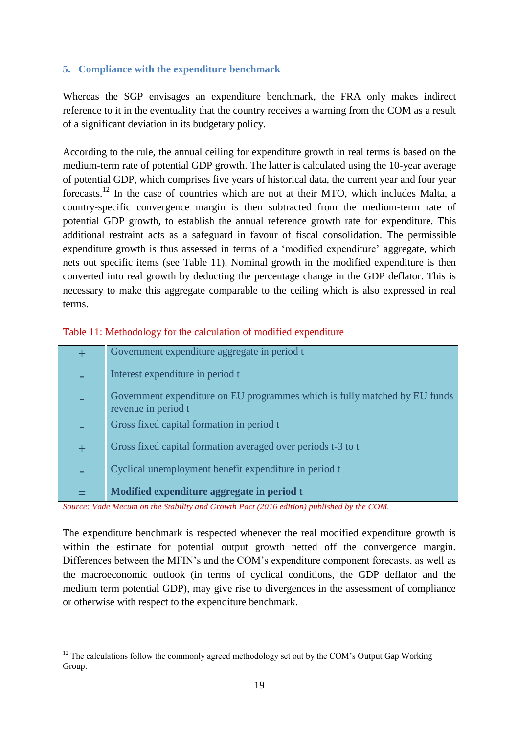## **5. Compliance with the expenditure benchmark**

Whereas the SGP envisages an expenditure benchmark, the FRA only makes indirect reference to it in the eventuality that the country receives a warning from the COM as a result of a significant deviation in its budgetary policy.

According to the rule, the annual ceiling for expenditure growth in real terms is based on the medium-term rate of potential GDP growth. The latter is calculated using the 10-year average of potential GDP, which comprises five years of historical data, the current year and four year forecasts.<sup>12</sup> In the case of countries which are not at their MTO, which includes Malta, a country-specific convergence margin is then subtracted from the medium-term rate of potential GDP growth, to establish the annual reference growth rate for expenditure. This additional restraint acts as a safeguard in favour of fiscal consolidation. The permissible expenditure growth is thus assessed in terms of a 'modified expenditure' aggregate, which nets out specific items (see Table 11). Nominal growth in the modified expenditure is then converted into real growth by deducting the percentage change in the GDP deflator. This is necessary to make this aggregate comparable to the ceiling which is also expressed in real terms.

Table 11: Methodology for the calculation of modified expenditure

|   | Government expenditure aggregate in period t                                                      |
|---|---------------------------------------------------------------------------------------------------|
|   | Interest expenditure in period t                                                                  |
|   | Government expenditure on EU programmes which is fully matched by EU funds<br>revenue in period t |
|   | Gross fixed capital formation in period t                                                         |
| 十 | Gross fixed capital formation averaged over periods t-3 to t                                      |
|   | Cyclical unemployment benefit expenditure in period t                                             |
|   | Modified expenditure aggregate in period t                                                        |

*Source: Vade Mecum on the Stability and Growth Pact (2016 edition) published by the COM.*

The expenditure benchmark is respected whenever the real modified expenditure growth is within the estimate for potential output growth netted off the convergence margin. Differences between the MFIN's and the COM's expenditure component forecasts, as well as the macroeconomic outlook (in terms of cyclical conditions, the GDP deflator and the medium term potential GDP), may give rise to divergences in the assessment of compliance or otherwise with respect to the expenditure benchmark.

<sup>1</sup>  $12$  The calculations follow the commonly agreed methodology set out by the COM's Output Gap Working Group.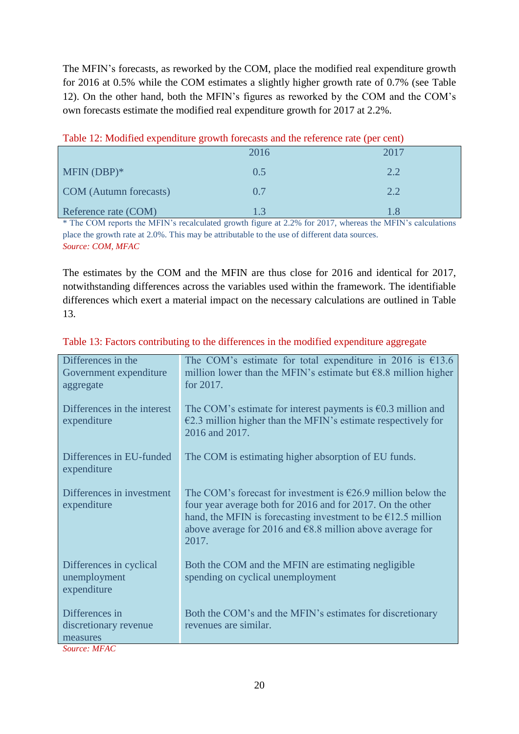The MFIN's forecasts, as reworked by the COM, place the modified real expenditure growth for 2016 at 0.5% while the COM estimates a slightly higher growth rate of 0.7% (see Table 12). On the other hand, both the MFIN's figures as reworked by the COM and the COM's own forecasts estimate the modified real expenditure growth for 2017 at 2.2%.

| Table 12. Modified experimente growth forecasts and the reference rate (per cent) |      |      |  |  |  |  |
|-----------------------------------------------------------------------------------|------|------|--|--|--|--|
|                                                                                   | 2016 | 2017 |  |  |  |  |
| MFIN $(DBP)*$                                                                     | 0.5  | 2.2  |  |  |  |  |
| <b>COM</b> (Autumn forecasts)                                                     | 0.7  | 2.2  |  |  |  |  |
| Reference rate (COM)                                                              |      |      |  |  |  |  |

| Table 12: Modified expenditure growth forecasts and the reference rate (per cent) |  |  |  |  |
|-----------------------------------------------------------------------------------|--|--|--|--|
|-----------------------------------------------------------------------------------|--|--|--|--|

\* The COM reports the MFIN's recalculated growth figure at 2.2% for 2017, whereas the MFIN's calculations place the growth rate at 2.0%. This may be attributable to the use of different data sources. *Source: COM, MFAC*

The estimates by the COM and the MFIN are thus close for 2016 and identical for 2017, notwithstanding differences across the variables used within the framework. The identifiable differences which exert a material impact on the necessary calculations are outlined in Table 13.

| Differences in the                                     | The COM's estimate for total expenditure in 2016 is $£13.6$                                                                                                                                                                                                                                    |
|--------------------------------------------------------|------------------------------------------------------------------------------------------------------------------------------------------------------------------------------------------------------------------------------------------------------------------------------------------------|
| Government expenditure                                 | million lower than the MFIN's estimate but $68.8$ million higher                                                                                                                                                                                                                               |
| aggregate                                              | for 2017.                                                                                                                                                                                                                                                                                      |
| Differences in the interest<br>expenditure             | The COM's estimate for interest payments is $\epsilon$ 0.3 million and<br>$E2.3$ million higher than the MFIN's estimate respectively for<br>2016 and 2017.                                                                                                                                    |
| Differences in EU-funded<br>expenditure                | The COM is estimating higher absorption of EU funds.                                                                                                                                                                                                                                           |
| Differences in investment<br>expenditure               | The COM's forecast for investment is $\epsilon$ 26.9 million below the<br>four year average both for 2016 and for 2017. On the other<br>hand, the MFIN is forecasting investment to be $\epsilon$ 12.5 million<br>above average for 2016 and $\epsilon$ 8.8 million above average for<br>2017. |
| Differences in cyclical<br>unemployment<br>expenditure | Both the COM and the MFIN are estimating negligible<br>spending on cyclical unemployment                                                                                                                                                                                                       |
| Differences in                                         | Both the COM's and the MFIN's estimates for discretionary                                                                                                                                                                                                                                      |
| discretionary revenue                                  | revenues are similar.                                                                                                                                                                                                                                                                          |
| measures                                               |                                                                                                                                                                                                                                                                                                |
| $S_{\alpha\mu\nu\rho\alpha}$ , MEA $\Gamma$            |                                                                                                                                                                                                                                                                                                |

|  | Table 13: Factors contributing to the differences in the modified expenditure aggregate |  |  |  |
|--|-----------------------------------------------------------------------------------------|--|--|--|
|  |                                                                                         |  |  |  |

*Source: MFAC*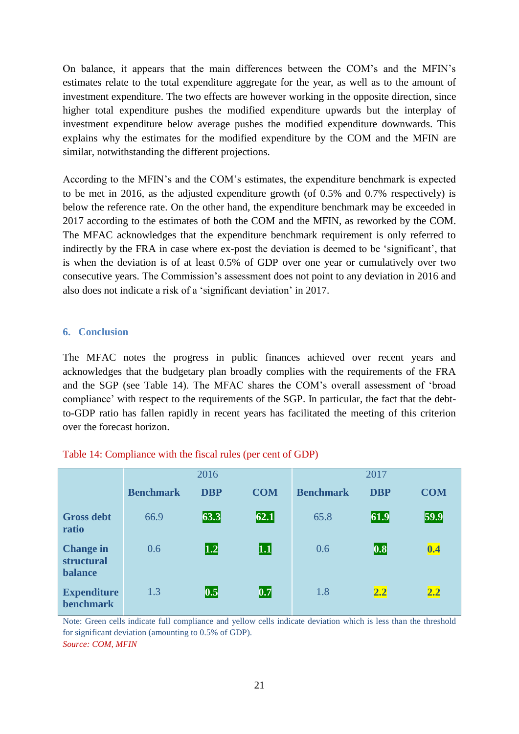On balance, it appears that the main differences between the COM's and the MFIN's estimates relate to the total expenditure aggregate for the year, as well as to the amount of investment expenditure. The two effects are however working in the opposite direction, since higher total expenditure pushes the modified expenditure upwards but the interplay of investment expenditure below average pushes the modified expenditure downwards. This explains why the estimates for the modified expenditure by the COM and the MFIN are similar, notwithstanding the different projections.

According to the MFIN's and the COM's estimates, the expenditure benchmark is expected to be met in 2016, as the adjusted expenditure growth (of 0.5% and 0.7% respectively) is below the reference rate. On the other hand, the expenditure benchmark may be exceeded in 2017 according to the estimates of both the COM and the MFIN, as reworked by the COM. The MFAC acknowledges that the expenditure benchmark requirement is only referred to indirectly by the FRA in case where ex-post the deviation is deemed to be 'significant', that is when the deviation is of at least 0.5% of GDP over one year or cumulatively over two consecutive years. The Commission's assessment does not point to any deviation in 2016 and also does not indicate a risk of a 'significant deviation' in 2017.

#### **6. Conclusion**

The MFAC notes the progress in public finances achieved over recent years and acknowledges that the budgetary plan broadly complies with the requirements of the FRA and the SGP (see Table 14). The MFAC shares the COM's overall assessment of 'broad compliance' with respect to the requirements of the SGP. In particular, the fact that the debtto-GDP ratio has fallen rapidly in recent years has facilitated the meeting of this criterion over the forecast horizon.

|                                                  | 2016             |                   |            | 2017             |            |            |
|--------------------------------------------------|------------------|-------------------|------------|------------------|------------|------------|
|                                                  | <b>Benchmark</b> | <b>DBP</b>        | <b>COM</b> | <b>Benchmark</b> | <b>DBP</b> | <b>COM</b> |
| <b>Gross debt</b><br>ratio                       | 66.9             | 63.3              | 62.1       | 65.8             | 61.9       | 59.9       |
| <b>Change in</b><br>structural<br><b>balance</b> | 0.6              | $\vert 1.2 \vert$ | $\bm{1.1}$ | 0.6              | 0.8        | 0.4        |
| <b>Expenditure</b><br><b>benchmark</b>           | 1.3              | 0.5               | 0.7        | 1.8              | 2.2        | 2.2        |

#### Table 14: Compliance with the fiscal rules (per cent of GDP)

Note: Green cells indicate full compliance and yellow cells indicate deviation which is less than the threshold for significant deviation (amounting to 0.5% of GDP). *Source: COM, MFIN*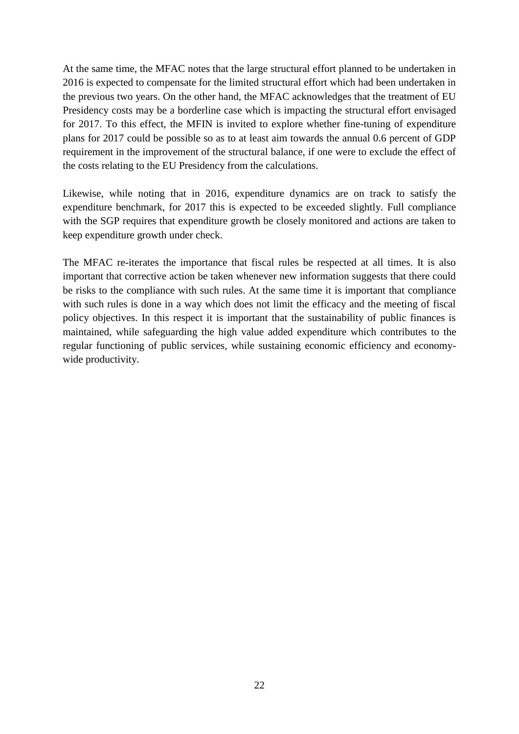At the same time, the MFAC notes that the large structural effort planned to be undertaken in 2016 is expected to compensate for the limited structural effort which had been undertaken in the previous two years. On the other hand, the MFAC acknowledges that the treatment of EU Presidency costs may be a borderline case which is impacting the structural effort envisaged for 2017. To this effect, the MFIN is invited to explore whether fine-tuning of expenditure plans for 2017 could be possible so as to at least aim towards the annual 0.6 percent of GDP requirement in the improvement of the structural balance, if one were to exclude the effect of the costs relating to the EU Presidency from the calculations.

Likewise, while noting that in 2016, expenditure dynamics are on track to satisfy the expenditure benchmark, for 2017 this is expected to be exceeded slightly. Full compliance with the SGP requires that expenditure growth be closely monitored and actions are taken to keep expenditure growth under check.

The MFAC re-iterates the importance that fiscal rules be respected at all times. It is also important that corrective action be taken whenever new information suggests that there could be risks to the compliance with such rules. At the same time it is important that compliance with such rules is done in a way which does not limit the efficacy and the meeting of fiscal policy objectives. In this respect it is important that the sustainability of public finances is maintained, while safeguarding the high value added expenditure which contributes to the regular functioning of public services, while sustaining economic efficiency and economywide productivity.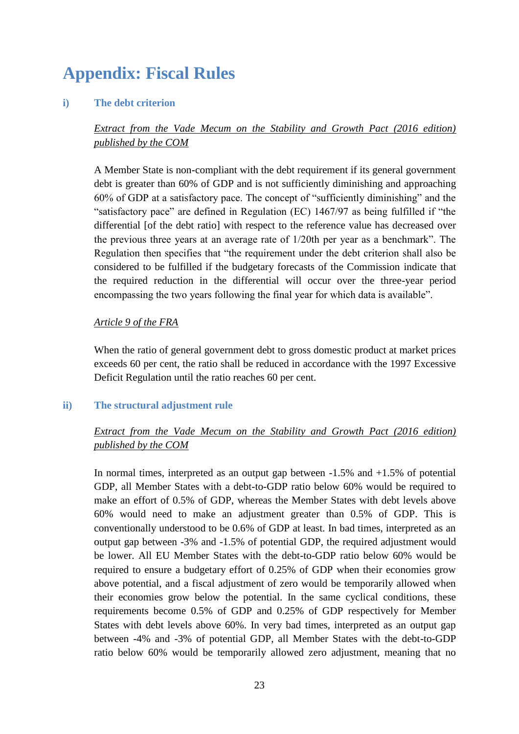# **Appendix: Fiscal Rules**

#### **i) The debt criterion**

# *Extract from the Vade Mecum on the Stability and Growth Pact (2016 edition) published by the COM*

A Member State is non-compliant with the debt requirement if its general government debt is greater than 60% of GDP and is not sufficiently diminishing and approaching 60% of GDP at a satisfactory pace. The concept of "sufficiently diminishing" and the "satisfactory pace" are defined in Regulation (EC) 1467/97 as being fulfilled if "the differential [of the debt ratio] with respect to the reference value has decreased over the previous three years at an average rate of 1/20th per year as a benchmark". The Regulation then specifies that "the requirement under the debt criterion shall also be considered to be fulfilled if the budgetary forecasts of the Commission indicate that the required reduction in the differential will occur over the three-year period encompassing the two years following the final year for which data is available".

#### *Article 9 of the FRA*

When the ratio of general government debt to gross domestic product at market prices exceeds 60 per cent, the ratio shall be reduced in accordance with the 1997 Excessive Deficit Regulation until the ratio reaches 60 per cent.

#### **ii) The structural adjustment rule**

# *Extract from the Vade Mecum on the Stability and Growth Pact (2016 edition) published by the COM*

In normal times, interpreted as an output gap between -1.5% and +1.5% of potential GDP, all Member States with a debt-to-GDP ratio below 60% would be required to make an effort of 0.5% of GDP, whereas the Member States with debt levels above 60% would need to make an adjustment greater than 0.5% of GDP. This is conventionally understood to be 0.6% of GDP at least. In bad times, interpreted as an output gap between -3% and -1.5% of potential GDP, the required adjustment would be lower. All EU Member States with the debt-to-GDP ratio below 60% would be required to ensure a budgetary effort of 0.25% of GDP when their economies grow above potential, and a fiscal adjustment of zero would be temporarily allowed when their economies grow below the potential. In the same cyclical conditions, these requirements become 0.5% of GDP and 0.25% of GDP respectively for Member States with debt levels above 60%. In very bad times, interpreted as an output gap between -4% and -3% of potential GDP, all Member States with the debt-to-GDP ratio below 60% would be temporarily allowed zero adjustment, meaning that no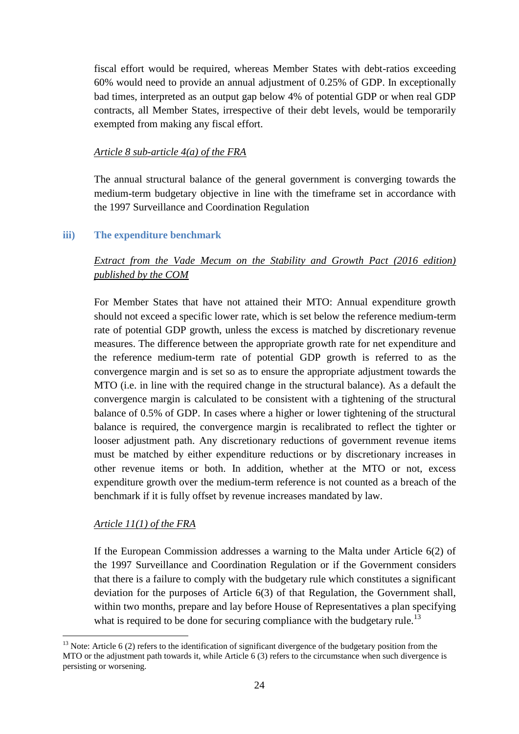fiscal effort would be required, whereas Member States with debt-ratios exceeding 60% would need to provide an annual adjustment of 0.25% of GDP. In exceptionally bad times, interpreted as an output gap below 4% of potential GDP or when real GDP contracts, all Member States, irrespective of their debt levels, would be temporarily exempted from making any fiscal effort.

### *Article 8 sub-article 4(a) of the FRA*

The annual structural balance of the general government is converging towards the medium-term budgetary objective in line with the timeframe set in accordance with the 1997 Surveillance and Coordination Regulation

## **iii) The expenditure benchmark**

# *Extract from the Vade Mecum on the Stability and Growth Pact (2016 edition) published by the COM*

For Member States that have not attained their MTO: Annual expenditure growth should not exceed a specific lower rate, which is set below the reference medium-term rate of potential GDP growth, unless the excess is matched by discretionary revenue measures. The difference between the appropriate growth rate for net expenditure and the reference medium-term rate of potential GDP growth is referred to as the convergence margin and is set so as to ensure the appropriate adjustment towards the MTO (i.e. in line with the required change in the structural balance). As a default the convergence margin is calculated to be consistent with a tightening of the structural balance of 0.5% of GDP. In cases where a higher or lower tightening of the structural balance is required, the convergence margin is recalibrated to reflect the tighter or looser adjustment path. Any discretionary reductions of government revenue items must be matched by either expenditure reductions or by discretionary increases in other revenue items or both. In addition, whether at the MTO or not, excess expenditure growth over the medium-term reference is not counted as a breach of the benchmark if it is fully offset by revenue increases mandated by law.

## *Article 11(1) of the FRA*

<u>.</u>

If the European Commission addresses a warning to the Malta under Article 6(2) of the 1997 Surveillance and Coordination Regulation or if the Government considers that there is a failure to comply with the budgetary rule which constitutes a significant deviation for the purposes of Article 6(3) of that Regulation, the Government shall, within two months, prepare and lay before House of Representatives a plan specifying what is required to be done for securing compliance with the budgetary rule.<sup>13</sup>

 $13$  Note: Article 6 (2) refers to the identification of significant divergence of the budgetary position from the MTO or the adjustment path towards it, while Article 6 (3) refers to the circumstance when such divergence is persisting or worsening.